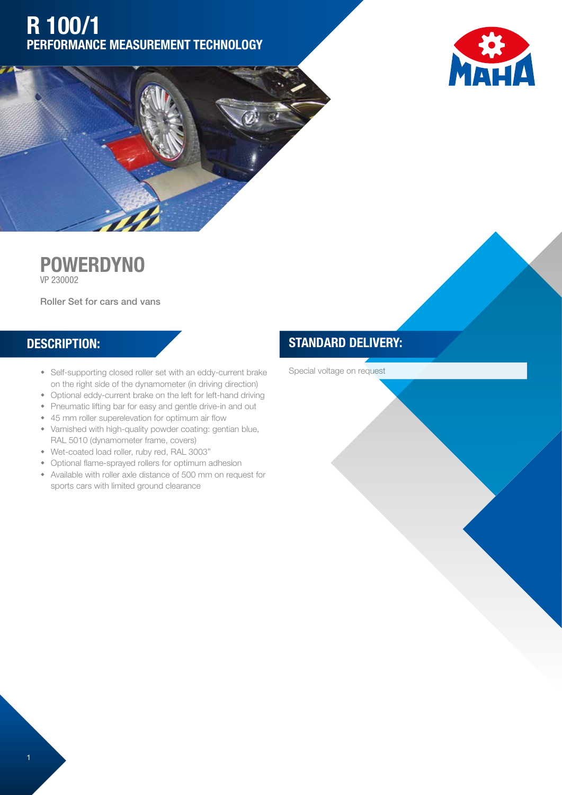# R 100/1 PERFORMANCE MEASUREMENT TECHNOLOGY





#### **POWERDYNO** VP 230002

Roller Set for cars and vans

#### DESCRIPTION:

- Self-supporting closed roller set with an eddy-current brake on the right side of the dynamometer (in driving direction)
- Optional eddy-current brake on the left for left-hand driving
- Pneumatic lifting bar for easy and gentle drive-in and out
- 45 mm roller superelevation for optimum air flow
- Varnished with high-quality powder coating: gentian blue, RAL 5010 (dynamometer frame, covers)
- w Wet-coated load roller, ruby red, RAL 3003"
- Optional flame-sprayed rollers for optimum adhesion
- Available with roller axle distance of 500 mm on request for sports cars with limited ground clearance

### STANDARD DELIVERY:

Special voltage on request